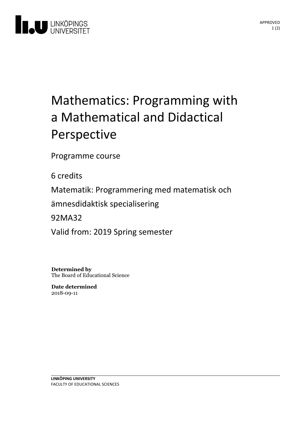

## Mathematics: Programming with a Mathematical and Didactical Perspective

Programme course

6 credits

Matematik: Programmering med matematisk och

ämnesdidaktisk specialisering

92MA32

Valid from: 2019 Spring semester

**Determined by** The Board of Educational Science

**Date determined** 2018-09-11